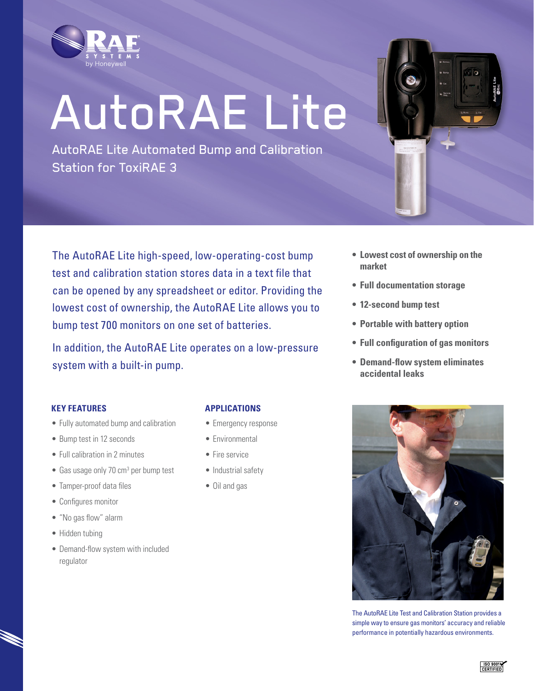

# AutoRAE Lite

AutoRAE Lite Automated Bump and Calibration Station for ToxiRAE 3



The AutoRAE Lite high-speed, low-operating-cost bump test and calibration station stores data in a text file that can be opened by any spreadsheet or editor. Providing the lowest cost of ownership, the AutoRAE Lite allows you to bump test 700 monitors on one set of batteries.

In addition, the AutoRAE Lite operates on a low-pressure system with a built-in pump.

- **• Lowest cost of ownership on the market**
- **• Full documentation storage**
- **• 12-second bump test**
- **• Portable with battery option**
- **• Full configuration of gas monitors**
- **• Demand-flow system eliminates accidental leaks**

#### **Key Features**

- Fully automated bump and calibration
- Bump test in 12 seconds
- Full calibration in 2 minutes
- Gas usage only 70 cm<sup>3</sup> per bump test
- Tamper-proof data files
- • Configures monitor
- • "No gas flow" alarm
- Hidden tubing
- Demand-flow system with included regulator

## **Applications**

- Emergency response
- Environmental
- Fire service
- Industrial safety
- Oil and gas



The AutoRAE Lite Test and Calibration Station provides a simple way to ensure gas monitors' accuracy and reliable performance in potentially hazardous environments.